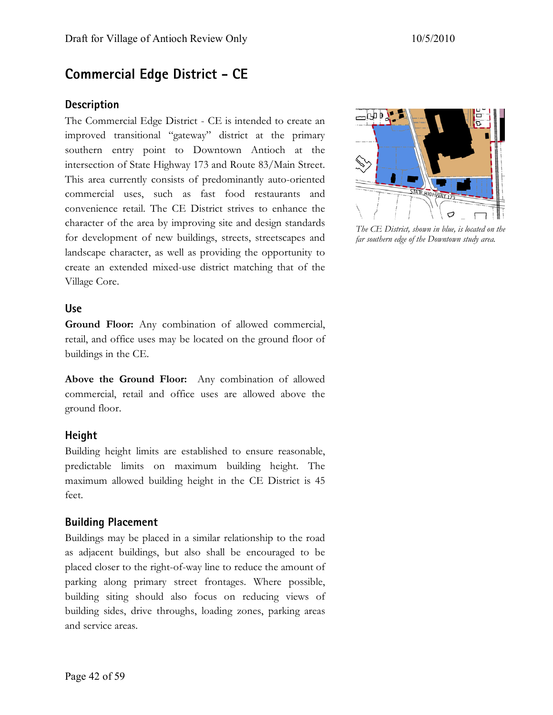# **Commercial Edge District - CE**

## **Description**

The Commercial Edge District - CE is intended to create an improved transitional "gateway" district at the primary southern entry point to Downtown Antioch at the intersection of State Highway 173 and Route 83/Main Street. This area currently consists of predominantly auto-oriented commercial uses, such as fast food restaurants and convenience retail. The CE District strives to enhance the character of the area by improving site and design standards for development of new buildings, streets, streetscapes and landscape character, as well as providing the opportunity to create an extended mixed-use district matching that of the Village Core.

#### **Use**

**Ground Floor:** Any combination of allowed commercial, retail, and office uses may be located on the ground floor of buildings in the CE.

**Above the Ground Floor:** Any combination of allowed commercial, retail and office uses are allowed above the ground floor.

## **Height**

Building height limits are established to ensure reasonable, predictable limits on maximum building height. The maximum allowed building height in the CE District is 45 feet.

### **Building Placement**

Buildings may be placed in a similar relationship to the road as adjacent buildings, but also shall be encouraged to be placed closer to the right-of-way line to reduce the amount of parking along primary street frontages. Where possible, building siting should also focus on reducing views of building sides, drive throughs, loading zones, parking areas and service areas.



*The CE District, shown in blue, is located on the far southern edge of the Downtown study area.*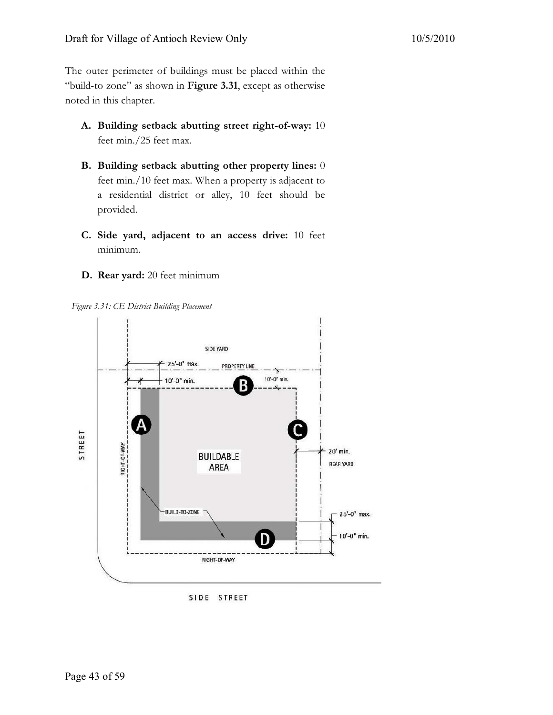The outer perimeter of buildings must be placed within the "build-to zone" as shown in **Figure 3.31**, except as otherwise noted in this chapter.

- **A. Building setback abutting street right-of-way:** 10 feet min./25 feet max.
- **B. Building setback abutting other property lines:** 0 feet min./10 feet max. When a property is adjacent to a residential district or alley, 10 feet should be provided.
- **C. Side yard, adjacent to an access drive:** 10 feet minimum.
- **D. Rear yard:** 20 feet minimum

*Figure 3.31: CE District Building Placement* 



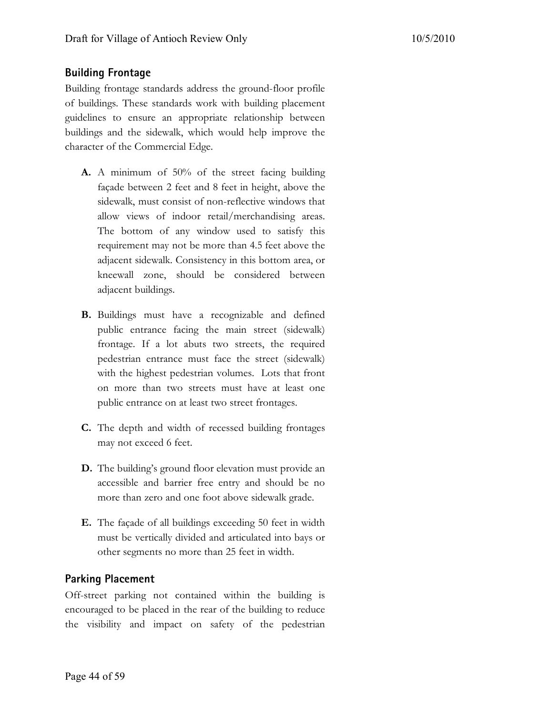#### **Building Frontage**

Building frontage standards address the ground-floor profile of buildings. These standards work with building placement guidelines to ensure an appropriate relationship between buildings and the sidewalk, which would help improve the character of the Commercial Edge.

- **A.** A minimum of 50% of the street facing building façade between 2 feet and 8 feet in height, above the sidewalk, must consist of non-reflective windows that allow views of indoor retail/merchandising areas. The bottom of any window used to satisfy this requirement may not be more than 4.5 feet above the adjacent sidewalk. Consistency in this bottom area, or kneewall zone, should be considered between adjacent buildings.
- **B.** Buildings must have a recognizable and defined public entrance facing the main street (sidewalk) frontage. If a lot abuts two streets, the required pedestrian entrance must face the street (sidewalk) with the highest pedestrian volumes. Lots that front on more than two streets must have at least one public entrance on at least two street frontages.
- **C.** The depth and width of recessed building frontages may not exceed 6 feet.
- **D.** The building's ground floor elevation must provide an accessible and barrier free entry and should be no more than zero and one foot above sidewalk grade.
- **E.** The façade of all buildings exceeding 50 feet in width must be vertically divided and articulated into bays or other segments no more than 25 feet in width.

#### **Parking Placement**

Off-street parking not contained within the building is encouraged to be placed in the rear of the building to reduce the visibility and impact on safety of the pedestrian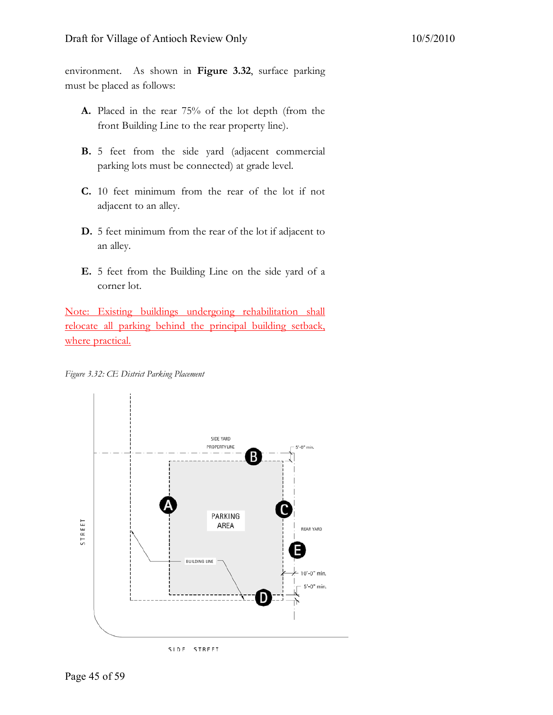environment. As shown in **Figure 3.32**, surface parking must be placed as follows:

- **A.** Placed in the rear 75% of the lot depth (from the front Building Line to the rear property line).
- **B.** 5 feet from the side yard (adjacent commercial parking lots must be connected) at grade level.
- **C.** 10 feet minimum from the rear of the lot if not adjacent to an alley.
- **D.** 5 feet minimum from the rear of the lot if adjacent to an alley.
- **E.** 5 feet from the Building Line on the side yard of a corner lot.

Note: Existing buildings undergoing rehabilitation shall relocate all parking behind the principal building setback, where practical.